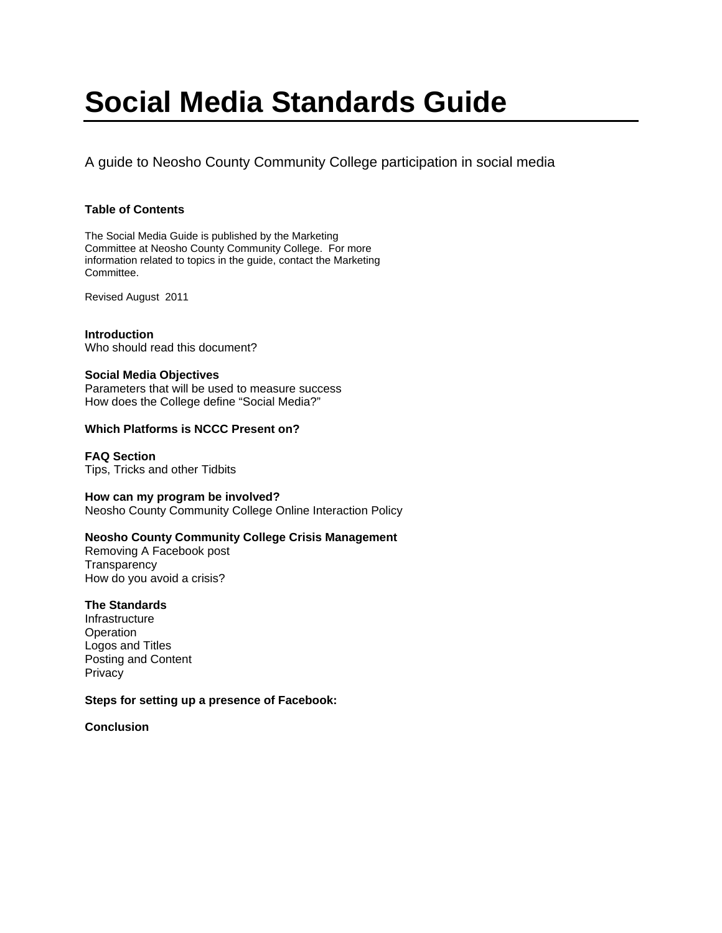# **Social Media Standards Guide**

A guide to Neosho County Community College participation in social media

# **Table of Contents**

The Social Media Guide is published by the Marketing Committee at Neosho County Community College. For more information related to topics in the guide, contact the Marketing Committee.

Revised August 2011

**Introduction**  Who should read this document?

# **Social Media Objectives**

Parameters that will be used to measure success How does the College define "Social Media?"

# **Which Platforms is NCCC Present on?**

**FAQ Section**  Tips, Tricks and other Tidbits

## **How can my program be involved?**  Neosho County Community College Online Interaction Policy

# **Neosho County Community College Crisis Management**

Removing A Facebook post **Transparency** How do you avoid a crisis?

# **The Standards**

Infrastructure **Operation** Logos and Titles Posting and Content Privacy

# **Steps for setting up a presence of Facebook:**

**Conclusion**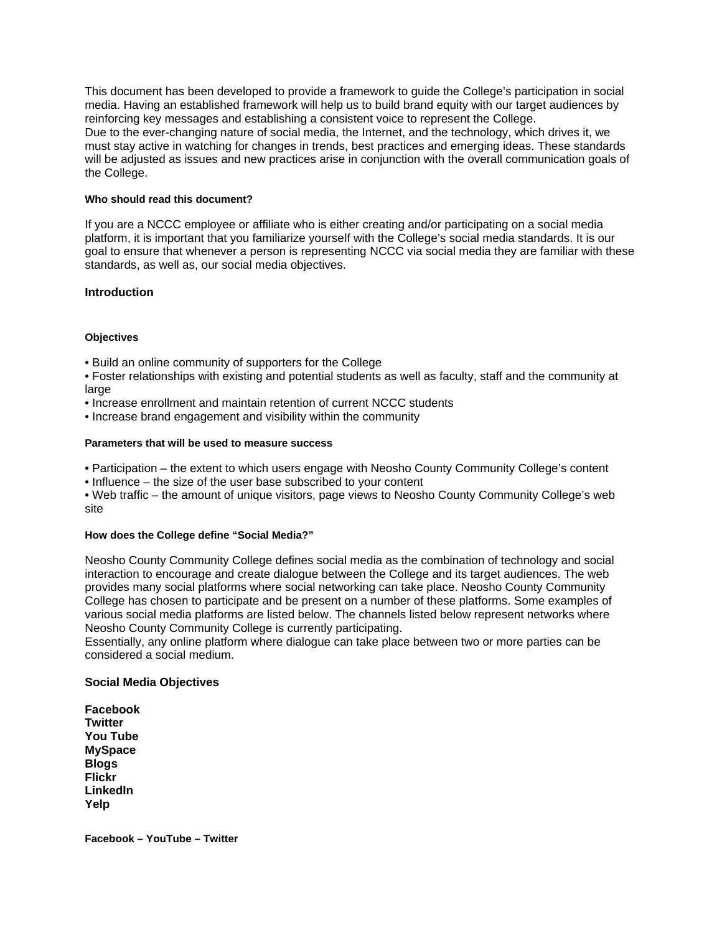This document has been developed to provide a framework to guide the College's participation in social media. Having an established framework will help us to build brand equity with our target audiences by reinforcing key messages and establishing a consistent voice to represent the College. Due to the ever-changing nature of social media, the Internet, and the technology, which drives it, we must stay active in watching for changes in trends, best practices and emerging ideas. These standards will be adjusted as issues and new practices arise in conjunction with the overall communication goals of the College.

## **Who should read this document?**

If you are a NCCC employee or affiliate who is either creating and/or participating on a social media platform, it is important that you familiarize yourself with the College's social media standards. It is our goal to ensure that whenever a person is representing NCCC via social media they are familiar with these standards, as well as, our social media objectives.

## **Introduction**

## **Objectives**

• Build an online community of supporters for the College

• Foster relationships with existing and potential students as well as faculty, staff and the community at large

- Increase enrollment and maintain retention of current NCCC students
- Increase brand engagement and visibility within the community

#### **Parameters that will be used to measure success**

- Participation the extent to which users engage with Neosho County Community College's content
- Influence the size of the user base subscribed to your content

• Web traffic – the amount of unique visitors, page views to Neosho County Community College's web site

#### **How does the College define "Social Media?"**

Neosho County Community College defines social media as the combination of technology and social interaction to encourage and create dialogue between the College and its target audiences. The web provides many social platforms where social networking can take place. Neosho County Community College has chosen to participate and be present on a number of these platforms. Some examples of various social media platforms are listed below. The channels listed below represent networks where Neosho County Community College is currently participating.

Essentially, any online platform where dialogue can take place between two or more parties can be considered a social medium.

#### **Social Media Objectives**

**Facebook Twitter You Tube MySpace Blogs Flickr LinkedIn Yelp** 

**Facebook – YouTube – Twitter**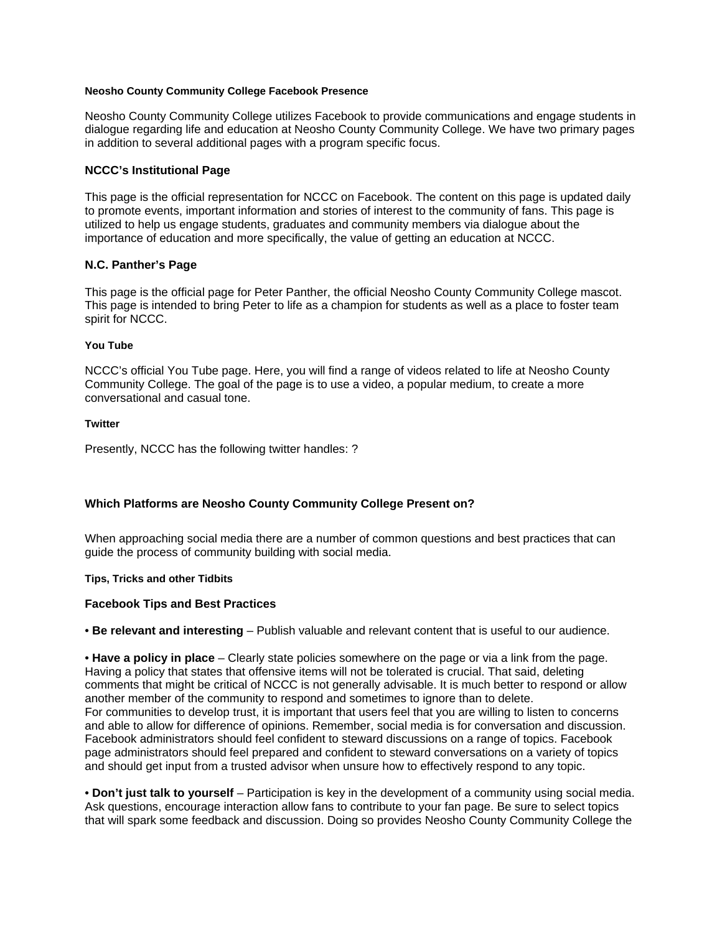## **Neosho County Community College Facebook Presence**

Neosho County Community College utilizes Facebook to provide communications and engage students in dialogue regarding life and education at Neosho County Community College. We have two primary pages in addition to several additional pages with a program specific focus.

## **NCCC's Institutional Page**

This page is the official representation for NCCC on Facebook. The content on this page is updated daily to promote events, important information and stories of interest to the community of fans. This page is utilized to help us engage students, graduates and community members via dialogue about the importance of education and more specifically, the value of getting an education at NCCC.

## **N.C. Panther's Page**

This page is the official page for Peter Panther, the official Neosho County Community College mascot. This page is intended to bring Peter to life as a champion for students as well as a place to foster team spirit for NCCC.

#### **You Tube**

NCCC's official You Tube page. Here, you will find a range of videos related to life at Neosho County Community College. The goal of the page is to use a video, a popular medium, to create a more conversational and casual tone.

#### **Twitter**

Presently, NCCC has the following twitter handles: ?

## **Which Platforms are Neosho County Community College Present on?**

When approaching social media there are a number of common questions and best practices that can guide the process of community building with social media.

#### **Tips, Tricks and other Tidbits**

#### **Facebook Tips and Best Practices**

• **Be relevant and interesting** – Publish valuable and relevant content that is useful to our audience.

• **Have a policy in place** – Clearly state policies somewhere on the page or via a link from the page. Having a policy that states that offensive items will not be tolerated is crucial. That said, deleting comments that might be critical of NCCC is not generally advisable. It is much better to respond or allow another member of the community to respond and sometimes to ignore than to delete. For communities to develop trust, it is important that users feel that you are willing to listen to concerns and able to allow for difference of opinions. Remember, social media is for conversation and discussion. Facebook administrators should feel confident to steward discussions on a range of topics. Facebook page administrators should feel prepared and confident to steward conversations on a variety of topics and should get input from a trusted advisor when unsure how to effectively respond to any topic.

• **Don't just talk to yourself** – Participation is key in the development of a community using social media. Ask questions, encourage interaction allow fans to contribute to your fan page. Be sure to select topics that will spark some feedback and discussion. Doing so provides Neosho County Community College the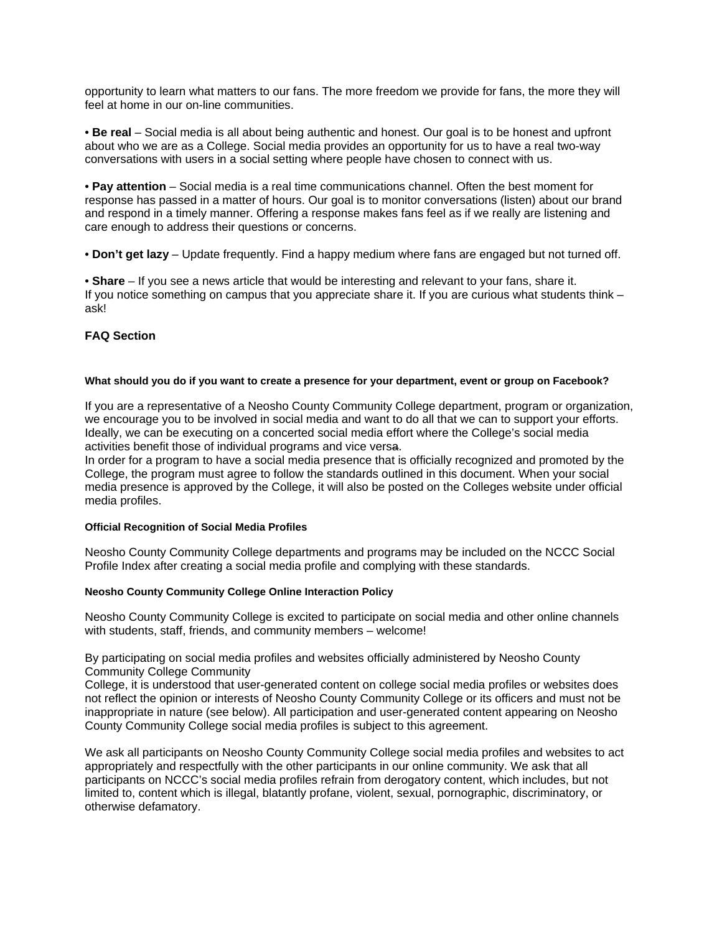opportunity to learn what matters to our fans. The more freedom we provide for fans, the more they will feel at home in our on-line communities.

• **Be real** – Social media is all about being authentic and honest. Our goal is to be honest and upfront about who we are as a College. Social media provides an opportunity for us to have a real two-way conversations with users in a social setting where people have chosen to connect with us.

• **Pay attention** – Social media is a real time communications channel. Often the best moment for response has passed in a matter of hours. Our goal is to monitor conversations (listen) about our brand and respond in a timely manner. Offering a response makes fans feel as if we really are listening and care enough to address their questions or concerns.

• **Don't get lazy** – Update frequently. Find a happy medium where fans are engaged but not turned off.

• **Share** – If you see a news article that would be interesting and relevant to your fans, share it. If you notice something on campus that you appreciate share it. If you are curious what students think – ask!

# **FAQ Section**

## **What should you do if you want to create a presence for your department, event or group on Facebook?**

If you are a representative of a Neosho County Community College department, program or organization, we encourage you to be involved in social media and want to do all that we can to support your efforts. Ideally, we can be executing on a concerted social media effort where the College's social media activities benefit those of individual programs and vice versa.

In order for a program to have a social media presence that is officially recognized and promoted by the College, the program must agree to follow the standards outlined in this document. When your social media presence is approved by the College, it will also be posted on the Colleges website under official media profiles.

## **Official Recognition of Social Media Profiles**

Neosho County Community College departments and programs may be included on the NCCC Social Profile Index after creating a social media profile and complying with these standards.

## **Neosho County Community College Online Interaction Policy**

Neosho County Community College is excited to participate on social media and other online channels with students, staff, friends, and community members – welcome!

By participating on social media profiles and websites officially administered by Neosho County Community College Community

College, it is understood that user-generated content on college social media profiles or websites does not reflect the opinion or interests of Neosho County Community College or its officers and must not be inappropriate in nature (see below). All participation and user-generated content appearing on Neosho County Community College social media profiles is subject to this agreement.

We ask all participants on Neosho County Community College social media profiles and websites to act appropriately and respectfully with the other participants in our online community. We ask that all participants on NCCC's social media profiles refrain from derogatory content, which includes, but not limited to, content which is illegal, blatantly profane, violent, sexual, pornographic, discriminatory, or otherwise defamatory.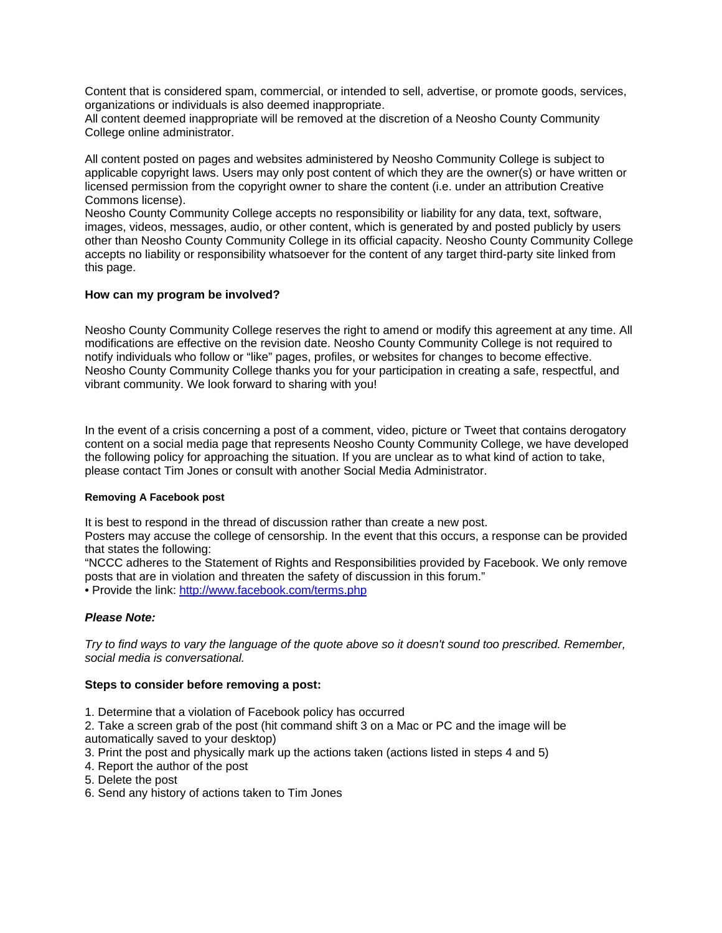Content that is considered spam, commercial, or intended to sell, advertise, or promote goods, services, organizations or individuals is also deemed inappropriate.

All content deemed inappropriate will be removed at the discretion of a Neosho County Community College online administrator.

All content posted on pages and websites administered by Neosho Community College is subject to applicable copyright laws. Users may only post content of which they are the owner(s) or have written or licensed permission from the copyright owner to share the content (i.e. under an attribution Creative Commons license).

Neosho County Community College accepts no responsibility or liability for any data, text, software, images, videos, messages, audio, or other content, which is generated by and posted publicly by users other than Neosho County Community College in its official capacity. Neosho County Community College accepts no liability or responsibility whatsoever for the content of any target third-party site linked from this page.

## **How can my program be involved?**

Neosho County Community College reserves the right to amend or modify this agreement at any time. All modifications are effective on the revision date. Neosho County Community College is not required to notify individuals who follow or "like" pages, profiles, or websites for changes to become effective. Neosho County Community College thanks you for your participation in creating a safe, respectful, and vibrant community. We look forward to sharing with you!

In the event of a crisis concerning a post of a comment, video, picture or Tweet that contains derogatory content on a social media page that represents Neosho County Community College, we have developed the following policy for approaching the situation. If you are unclear as to what kind of action to take, please contact Tim Jones or consult with another Social Media Administrator.

## **Removing A Facebook post**

It is best to respond in the thread of discussion rather than create a new post.

Posters may accuse the college of censorship. In the event that this occurs, a response can be provided that states the following:

"NCCC adheres to the Statement of Rights and Responsibilities provided by Facebook. We only remove posts that are in violation and threaten the safety of discussion in this forum."

• Provide the link: http://www.facebook.com/terms.php

## *Please Note:*

*Try to find ways to vary the language of the quote above so it doesn't sound too prescribed. Remember, social media is conversational.* 

#### **Steps to consider before removing a post:**

- 1. Determine that a violation of Facebook policy has occurred
- 2. Take a screen grab of the post (hit command shift 3 on a Mac or PC and the image will be automatically saved to your desktop)
- 3. Print the post and physically mark up the actions taken (actions listed in steps 4 and 5)
- 4. Report the author of the post
- 5. Delete the post
- 6. Send any history of actions taken to Tim Jones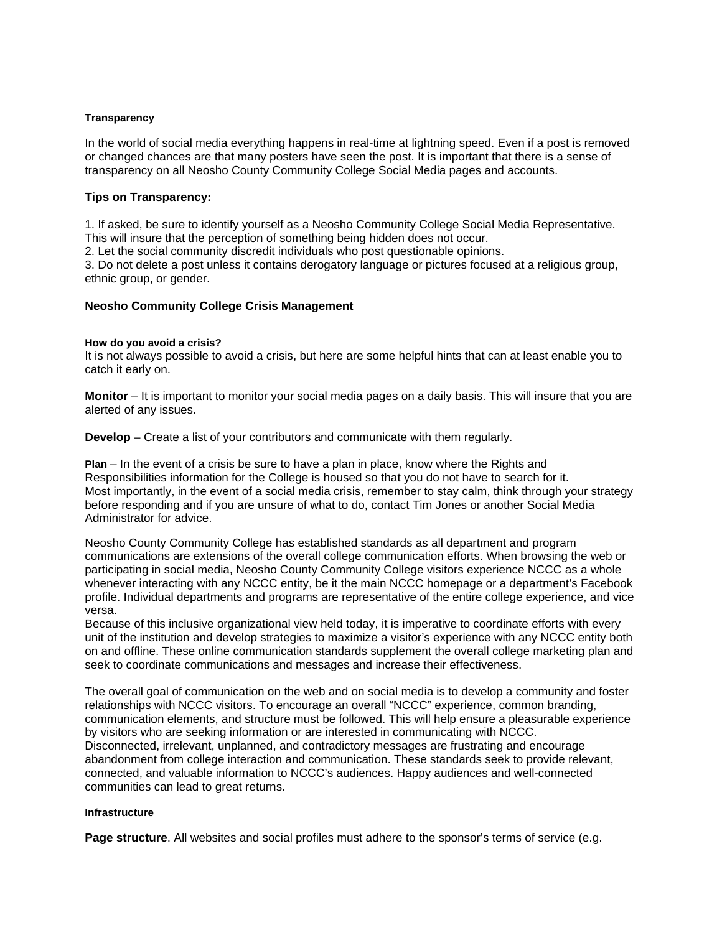#### **Transparency**

In the world of social media everything happens in real-time at lightning speed. Even if a post is removed or changed chances are that many posters have seen the post. It is important that there is a sense of transparency on all Neosho County Community College Social Media pages and accounts.

## **Tips on Transparency:**

1. If asked, be sure to identify yourself as a Neosho Community College Social Media Representative. This will insure that the perception of something being hidden does not occur.

2. Let the social community discredit individuals who post questionable opinions.

3. Do not delete a post unless it contains derogatory language or pictures focused at a religious group, ethnic group, or gender.

## **Neosho Community College Crisis Management**

#### **How do you avoid a crisis?**

It is not always possible to avoid a crisis, but here are some helpful hints that can at least enable you to catch it early on.

**Monitor** – It is important to monitor your social media pages on a daily basis. This will insure that you are alerted of any issues.

**Develop** – Create a list of your contributors and communicate with them regularly.

**Plan** – In the event of a crisis be sure to have a plan in place, know where the Rights and Responsibilities information for the College is housed so that you do not have to search for it. Most importantly, in the event of a social media crisis, remember to stay calm, think through your strategy before responding and if you are unsure of what to do, contact Tim Jones or another Social Media Administrator for advice.

Neosho County Community College has established standards as all department and program communications are extensions of the overall college communication efforts. When browsing the web or participating in social media, Neosho County Community College visitors experience NCCC as a whole whenever interacting with any NCCC entity, be it the main NCCC homepage or a department's Facebook profile. Individual departments and programs are representative of the entire college experience, and vice versa.

Because of this inclusive organizational view held today, it is imperative to coordinate efforts with every unit of the institution and develop strategies to maximize a visitor's experience with any NCCC entity both on and offline. These online communication standards supplement the overall college marketing plan and seek to coordinate communications and messages and increase their effectiveness.

The overall goal of communication on the web and on social media is to develop a community and foster relationships with NCCC visitors. To encourage an overall "NCCC" experience, common branding, communication elements, and structure must be followed. This will help ensure a pleasurable experience by visitors who are seeking information or are interested in communicating with NCCC. Disconnected, irrelevant, unplanned, and contradictory messages are frustrating and encourage abandonment from college interaction and communication. These standards seek to provide relevant, connected, and valuable information to NCCC's audiences. Happy audiences and well-connected communities can lead to great returns.

#### **Infrastructure**

**Page structure**. All websites and social profiles must adhere to the sponsor's terms of service (e.g.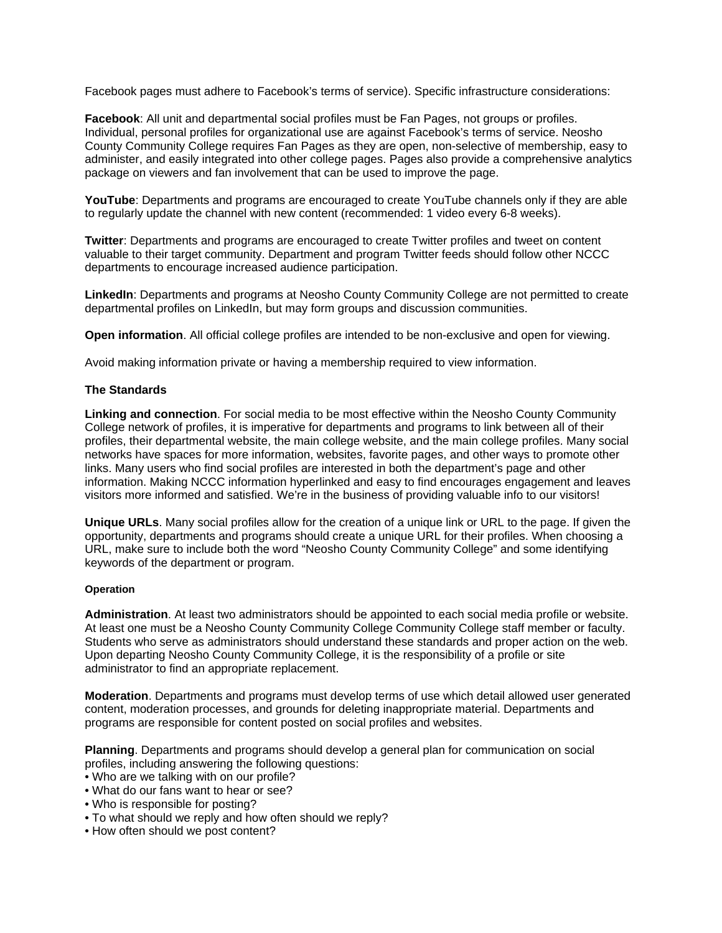Facebook pages must adhere to Facebook's terms of service). Specific infrastructure considerations:

**Facebook:** All unit and departmental social profiles must be Fan Pages, not groups or profiles. Individual, personal profiles for organizational use are against Facebook's terms of service. Neosho County Community College requires Fan Pages as they are open, non-selective of membership, easy to administer, and easily integrated into other college pages. Pages also provide a comprehensive analytics package on viewers and fan involvement that can be used to improve the page.

**YouTube**: Departments and programs are encouraged to create YouTube channels only if they are able to regularly update the channel with new content (recommended: 1 video every 6-8 weeks).

**Twitter**: Departments and programs are encouraged to create Twitter profiles and tweet on content valuable to their target community. Department and program Twitter feeds should follow other NCCC departments to encourage increased audience participation.

**LinkedIn**: Departments and programs at Neosho County Community College are not permitted to create departmental profiles on LinkedIn, but may form groups and discussion communities.

**Open information**. All official college profiles are intended to be non-exclusive and open for viewing.

Avoid making information private or having a membership required to view information.

## **The Standards**

**Linking and connection**. For social media to be most effective within the Neosho County Community College network of profiles, it is imperative for departments and programs to link between all of their profiles, their departmental website, the main college website, and the main college profiles. Many social networks have spaces for more information, websites, favorite pages, and other ways to promote other links. Many users who find social profiles are interested in both the department's page and other information. Making NCCC information hyperlinked and easy to find encourages engagement and leaves visitors more informed and satisfied. We're in the business of providing valuable info to our visitors!

**Unique URLs**. Many social profiles allow for the creation of a unique link or URL to the page. If given the opportunity, departments and programs should create a unique URL for their profiles. When choosing a URL, make sure to include both the word "Neosho County Community College" and some identifying keywords of the department or program.

## **Operation**

**Administration**. At least two administrators should be appointed to each social media profile or website. At least one must be a Neosho County Community College Community College staff member or faculty. Students who serve as administrators should understand these standards and proper action on the web. Upon departing Neosho County Community College, it is the responsibility of a profile or site administrator to find an appropriate replacement.

**Moderation**. Departments and programs must develop terms of use which detail allowed user generated content, moderation processes, and grounds for deleting inappropriate material. Departments and programs are responsible for content posted on social profiles and websites.

**Planning**. Departments and programs should develop a general plan for communication on social profiles, including answering the following questions:

- Who are we talking with on our profile?
- What do our fans want to hear or see?
- Who is responsible for posting?
- To what should we reply and how often should we reply?
- How often should we post content?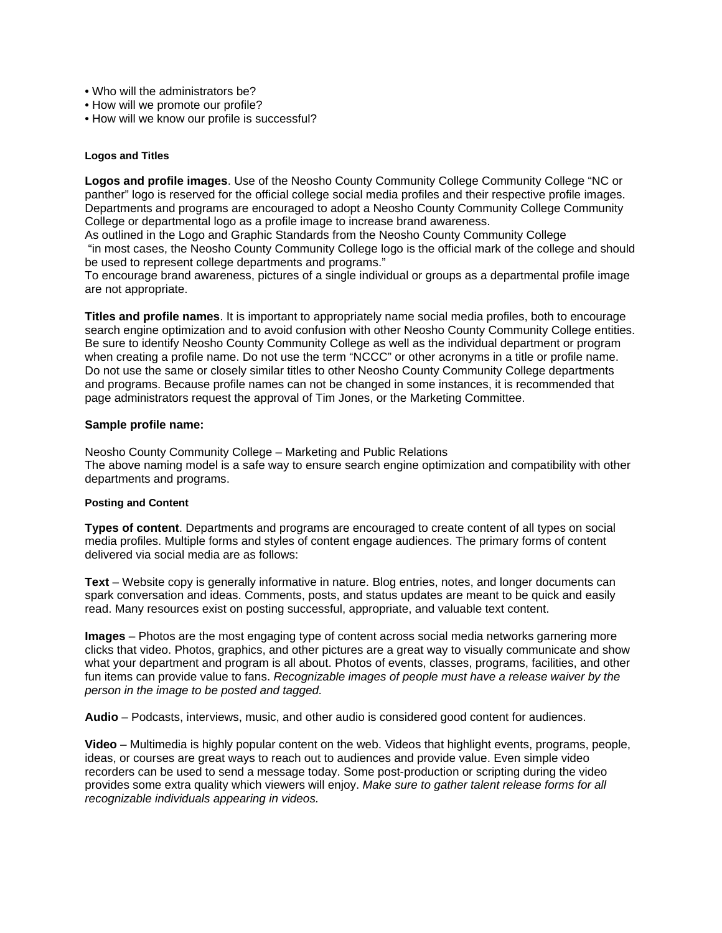- Who will the administrators be?
- How will we promote our profile?
- How will we know our profile is successful?

## **Logos and Titles**

**Logos and profile images**. Use of the Neosho County Community College Community College "NC or panther" logo is reserved for the official college social media profiles and their respective profile images. Departments and programs are encouraged to adopt a Neosho County Community College Community College or departmental logo as a profile image to increase brand awareness.

As outlined in the Logo and Graphic Standards from the Neosho County Community College "in most cases, the Neosho County Community College logo is the official mark of the college and should be used to represent college departments and programs."

To encourage brand awareness, pictures of a single individual or groups as a departmental profile image are not appropriate.

**Titles and profile names**. It is important to appropriately name social media profiles, both to encourage search engine optimization and to avoid confusion with other Neosho County Community College entities. Be sure to identify Neosho County Community College as well as the individual department or program when creating a profile name. Do not use the term "NCCC" or other acronyms in a title or profile name. Do not use the same or closely similar titles to other Neosho County Community College departments and programs. Because profile names can not be changed in some instances, it is recommended that page administrators request the approval of Tim Jones, or the Marketing Committee.

## **Sample profile name:**

Neosho County Community College – Marketing and Public Relations The above naming model is a safe way to ensure search engine optimization and compatibility with other departments and programs.

#### **Posting and Content**

**Types of content**. Departments and programs are encouraged to create content of all types on social media profiles. Multiple forms and styles of content engage audiences. The primary forms of content delivered via social media are as follows:

**Text** – Website copy is generally informative in nature. Blog entries, notes, and longer documents can spark conversation and ideas. Comments, posts, and status updates are meant to be quick and easily read. Many resources exist on posting successful, appropriate, and valuable text content.

**Images** – Photos are the most engaging type of content across social media networks garnering more clicks that video. Photos, graphics, and other pictures are a great way to visually communicate and show what your department and program is all about. Photos of events, classes, programs, facilities, and other fun items can provide value to fans. *Recognizable images of people must have a release waiver by the person in the image to be posted and tagged.*

**Audio** – Podcasts, interviews, music, and other audio is considered good content for audiences.

**Video** – Multimedia is highly popular content on the web. Videos that highlight events, programs, people, ideas, or courses are great ways to reach out to audiences and provide value. Even simple video recorders can be used to send a message today. Some post-production or scripting during the video provides some extra quality which viewers will enjoy. *Make sure to gather talent release forms for all recognizable individuals appearing in videos.*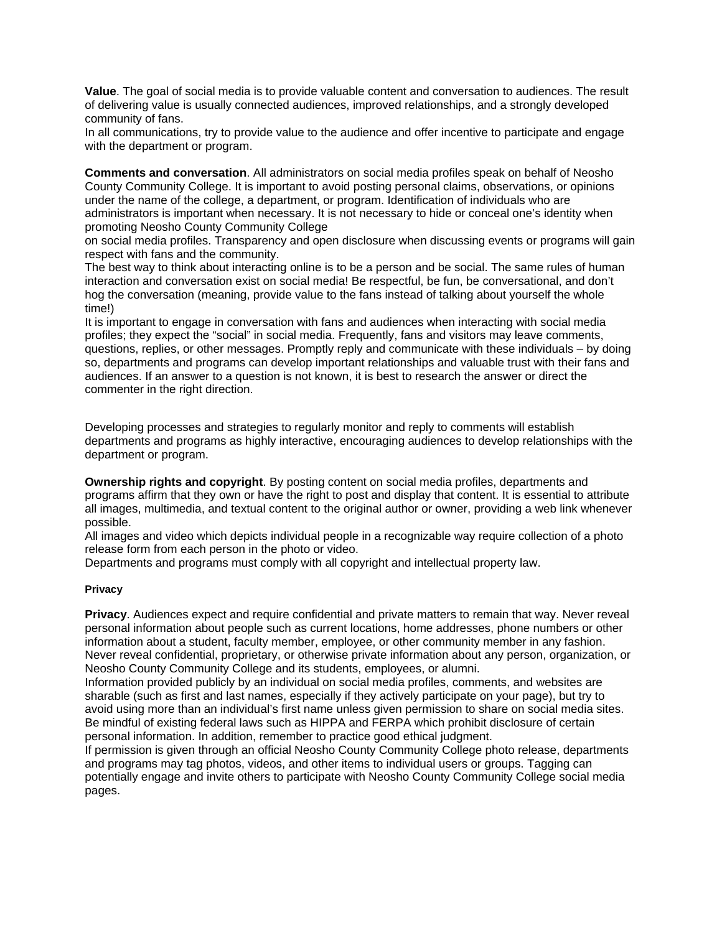**Value**. The goal of social media is to provide valuable content and conversation to audiences. The result of delivering value is usually connected audiences, improved relationships, and a strongly developed community of fans.

In all communications, try to provide value to the audience and offer incentive to participate and engage with the department or program.

**Comments and conversation**. All administrators on social media profiles speak on behalf of Neosho County Community College. It is important to avoid posting personal claims, observations, or opinions under the name of the college, a department, or program. Identification of individuals who are administrators is important when necessary. It is not necessary to hide or conceal one's identity when promoting Neosho County Community College

on social media profiles. Transparency and open disclosure when discussing events or programs will gain respect with fans and the community.

The best way to think about interacting online is to be a person and be social. The same rules of human interaction and conversation exist on social media! Be respectful, be fun, be conversational, and don't hog the conversation (meaning, provide value to the fans instead of talking about yourself the whole time!)

It is important to engage in conversation with fans and audiences when interacting with social media profiles; they expect the "social" in social media. Frequently, fans and visitors may leave comments, questions, replies, or other messages. Promptly reply and communicate with these individuals – by doing so, departments and programs can develop important relationships and valuable trust with their fans and audiences. If an answer to a question is not known, it is best to research the answer or direct the commenter in the right direction.

Developing processes and strategies to regularly monitor and reply to comments will establish departments and programs as highly interactive, encouraging audiences to develop relationships with the department or program.

**Ownership rights and copyright**. By posting content on social media profiles, departments and programs affirm that they own or have the right to post and display that content. It is essential to attribute all images, multimedia, and textual content to the original author or owner, providing a web link whenever possible.

All images and video which depicts individual people in a recognizable way require collection of a photo release form from each person in the photo or video.

Departments and programs must comply with all copyright and intellectual property law.

## **Privacy**

**Privacy**. Audiences expect and require confidential and private matters to remain that way. Never reveal personal information about people such as current locations, home addresses, phone numbers or other information about a student, faculty member, employee, or other community member in any fashion. Never reveal confidential, proprietary, or otherwise private information about any person, organization, or Neosho County Community College and its students, employees, or alumni.

Information provided publicly by an individual on social media profiles, comments, and websites are sharable (such as first and last names, especially if they actively participate on your page), but try to avoid using more than an individual's first name unless given permission to share on social media sites. Be mindful of existing federal laws such as HIPPA and FERPA which prohibit disclosure of certain personal information. In addition, remember to practice good ethical judgment.

If permission is given through an official Neosho County Community College photo release, departments and programs may tag photos, videos, and other items to individual users or groups. Tagging can potentially engage and invite others to participate with Neosho County Community College social media pages.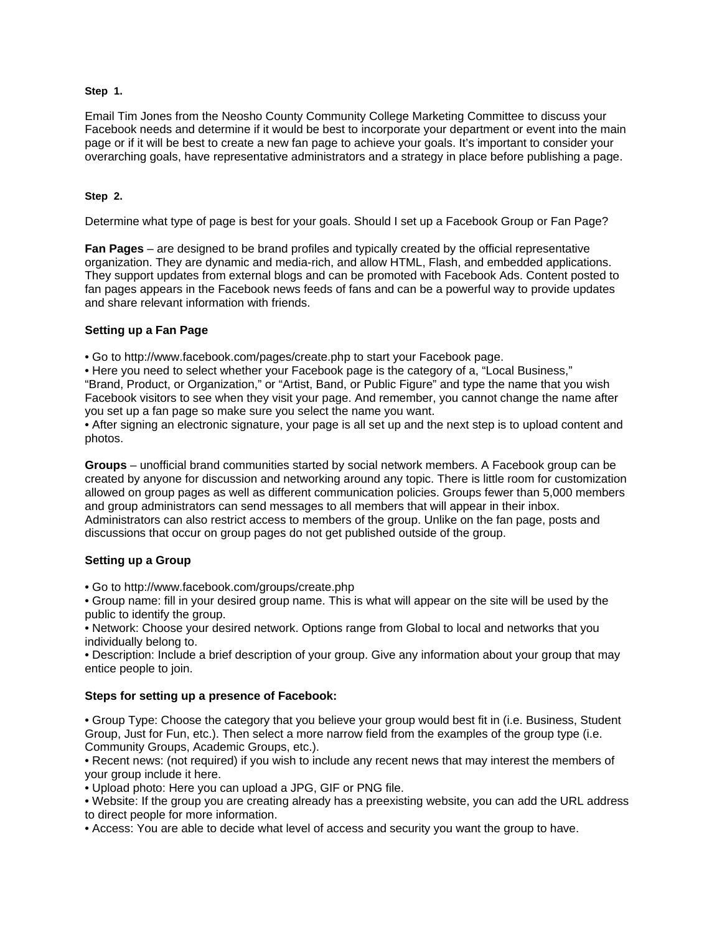## **Step 1.**

Email Tim Jones from the Neosho County Community College Marketing Committee to discuss your Facebook needs and determine if it would be best to incorporate your department or event into the main page or if it will be best to create a new fan page to achieve your goals. It's important to consider your overarching goals, have representative administrators and a strategy in place before publishing a page.

# **Step 2.**

Determine what type of page is best for your goals. Should I set up a Facebook Group or Fan Page?

**Fan Pages** – are designed to be brand profiles and typically created by the official representative organization. They are dynamic and media-rich, and allow HTML, Flash, and embedded applications. They support updates from external blogs and can be promoted with Facebook Ads. Content posted to fan pages appears in the Facebook news feeds of fans and can be a powerful way to provide updates and share relevant information with friends.

# **Setting up a Fan Page**

• Go to http://www.facebook.com/pages/create.php to start your Facebook page.

• Here you need to select whether your Facebook page is the category of a, "Local Business," "Brand, Product, or Organization," or "Artist, Band, or Public Figure" and type the name that you wish Facebook visitors to see when they visit your page. And remember, you cannot change the name after you set up a fan page so make sure you select the name you want.

• After signing an electronic signature, your page is all set up and the next step is to upload content and photos.

**Groups** – unofficial brand communities started by social network members. A Facebook group can be created by anyone for discussion and networking around any topic. There is little room for customization allowed on group pages as well as different communication policies. Groups fewer than 5,000 members and group administrators can send messages to all members that will appear in their inbox. Administrators can also restrict access to members of the group. Unlike on the fan page, posts and discussions that occur on group pages do not get published outside of the group.

## **Setting up a Group**

• Go to http://www.facebook.com/groups/create.php

• Group name: fill in your desired group name. This is what will appear on the site will be used by the public to identify the group.

• Network: Choose your desired network. Options range from Global to local and networks that you individually belong to.

• Description: Include a brief description of your group. Give any information about your group that may entice people to join.

## **Steps for setting up a presence of Facebook:**

• Group Type: Choose the category that you believe your group would best fit in (i.e. Business, Student Group, Just for Fun, etc.). Then select a more narrow field from the examples of the group type (i.e. Community Groups, Academic Groups, etc.).

• Recent news: (not required) if you wish to include any recent news that may interest the members of your group include it here.

• Upload photo: Here you can upload a JPG, GIF or PNG file.

• Website: If the group you are creating already has a preexisting website, you can add the URL address to direct people for more information.

• Access: You are able to decide what level of access and security you want the group to have.